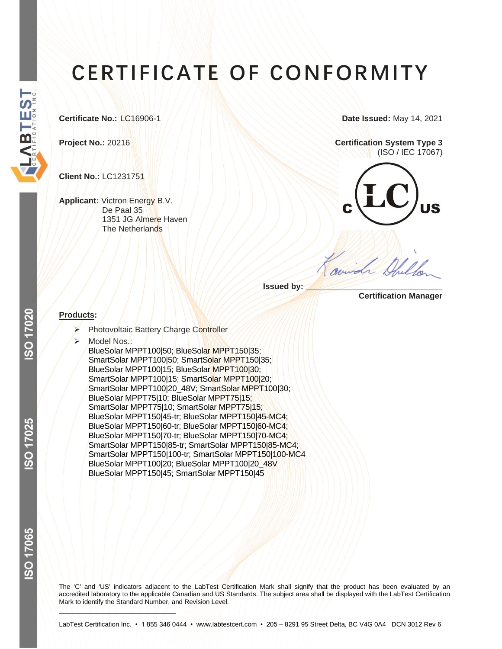# **CERTIFICATE OF CONFORMITY**

**Client No.:** LC1231751

**Applicant:** Victron Energy B.V. De Paal 35 1351 JG Almere Haven The Netherlands

**Certificate No.: LC16906-1 <b>Date Issued:** May 14, 2021

**Project No.:** 20216 **Certification System Type 3** (ISO / IEC 17067)



**Issued by:** 

 **Certification Manager**

## **Products:**

- ➢ Photovoltaic Battery Charge Controller
- Model Nos.: BlueSolar MPPT100|50; BlueSolar MPPT150|35; SmartSolar MPPT100|50; SmartSolar MPPT150|35; BlueSolar MPPT100|15; BlueSolar MPPT100|30; SmartSolar MPPT100|15; SmartSolar MPPT100|20; SmartSolar MPPT100|20\_48V; SmartSolar MPPT100|30; BlueSolar MPPT75|10; BlueSolar MPPT75|15; SmartSolar MPPT75|10; SmartSolar MPPT75|15; BlueSolar MPPT150|45-tr; BlueSolar MPPT150|45-MC4; BlueSolar MPPT150|60-tr; BlueSolar MPPT150|60-MC4; BlueSolar MPPT150|70-tr; BlueSolar MPPT150|70-MC4; SmartSolar MPPT150|85-tr; SmartSolar MPPT150|85-MC4; SmartSolar MPPT150|100-tr; SmartSolar MPPT150|100-MC4 BlueSolar MPPT100|20; BlueSolar MPPT100|20\_48V BlueSolar MPPT150|45; SmartSolar MPPT150|45

ISO 17065

The 'C' and 'US' indicators adjacent to the LabTest Certification Mark shall signify that the product has been evaluated by an accredited laboratory to the applicable Canadian and US Standards. The subject area shall be displayed with the LabTest Certification Mark to identify the Standard Number, and Revision Level.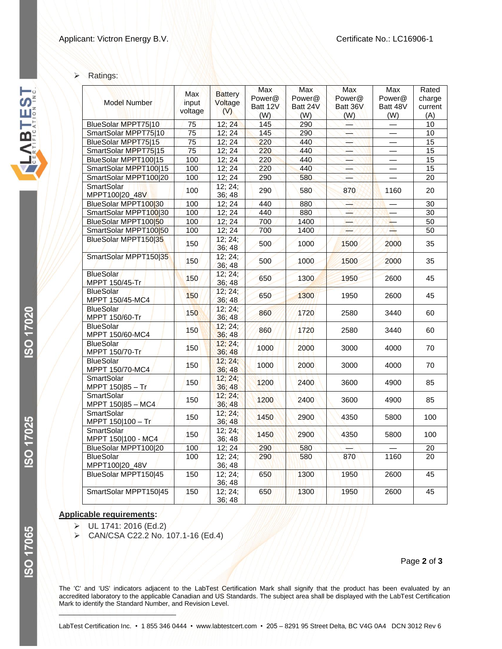#### ➢ Ratings:

|                                          |                                |                                  | Max      | <b>Max</b> | <b>Max</b> | Max      | Rated           |
|------------------------------------------|--------------------------------|----------------------------------|----------|------------|------------|----------|-----------------|
| <b>Model Number</b>                      | <b>Max</b><br>input<br>voltage | <b>Battery</b><br>Voltage<br>(V) | Power@   | Power@     | Power@     | Power@   | charge          |
|                                          |                                |                                  | Batt 12V | Batt 24V   | Batt 36V   | Batt 48V | current         |
|                                          |                                |                                  | (W)      | (W)        | (W)        | (W)      | (A)             |
| BlueSolar MPPT75 10                      | 75                             | 12; 24                           | 145      | 290        |            |          | 10              |
| SmartSolar MPPT75 10                     | 75                             | 12; 24                           | 145      | 290        |            |          | $\overline{10}$ |
| <b>BlueSolar MPPT75 15</b>               | 75                             | 12:24                            | 220      | 440        |            |          | 15              |
| SmartSolar MPPT75 15                     | 75                             | 12; 24                           | 220      | 440        |            |          | 15              |
| BlueSolar MPPT100 15                     | 100                            | 12:24                            | 220      | 440        |            |          | $\overline{15}$ |
| SmartSolar MPPT100 15                    | 100                            | 12; 24                           | 220      | 440        |            |          | $\overline{15}$ |
| SmartSolar MPPT100 20                    | 100                            | 12; 24                           | 290      | 580        |            |          | $\overline{20}$ |
| <b>SmartSolar</b><br>MPPT100 20_48V      | 100                            | 12; 24;<br>36;48                 | 290      | 580        | 870        | 1160     | 20              |
| BlueSolar MPPT100 30                     | 100                            | 12:24                            | 440      | 880        |            |          | $\overline{30}$ |
| SmartSolar MPPT100 30                    | 100                            | 12; 24                           | 440      | 880        |            |          | 30              |
| BlueSolar MPPT10050                      | 100                            | 12:24                            | 700      | 1400       |            |          | $\overline{50}$ |
| SmartSolar MPPT100 <sup>[50]</sup>       | 100                            | 12; 24                           | 700      | 1400       | XZZ.       | PA.      | $\overline{50}$ |
| BlueSolar MPPT150 35                     |                                | 12; 24;                          |          |            |            |          |                 |
|                                          | 150                            | 36;48                            | 500      | 1000       | 1500       | 2000     | 35              |
| SmartSolar MPPT150 35                    | 150                            | 12; 24;<br>36;48                 | 500      | 1000       | 1500       | 2000     | 35              |
| <b>BlueSolar</b><br>MPPT 150/45-Tr       | 150                            | 12; 24;<br>36;48                 | 650      | 1300       | 1950       | 2600     | 45              |
| <b>BlueSolar</b><br>MPPT 150/45-MC4      | 150                            | 12; 24;<br>36;48                 | 650      | 1300       | 1950       | 2600     | 45              |
| <b>BlueSolar</b><br>MPPT 150/60-Tr       | 150                            | 12; 24;<br>36;48                 | 860      | 1720       | 2580       | 3440     | 60              |
| <b>BlueSolar</b><br>MPPT 150/60-MC4      | 150                            | 12; 24;<br>36;48                 | 860      | 1720       | 2580       | 3440     | 60              |
| <b>BlueSolar</b><br>MPPT 150/70-Tr       | 150                            | 12; 24;<br>36;48                 | 1000     | 2000       | 3000       | 4000     | 70              |
| <b>BlueSolar</b><br>MPPT 150/70-MC4      | 150                            | 12; 24;<br>36;48                 | 1000     | 2000       | 3000       | 4000     | 70              |
| <b>SmartSolar</b><br>MPPT 150 85 - Tr    | 150                            | 12:24:<br>36;48                  | 1200     | 2400       | 3600       | 4900     | 85              |
| <b>SmartSolar</b><br>MPPT $150 85 - MC4$ | 150                            | 12; 24;<br>36; 48                | 1200     | 2400       | 3600       | 4900     | 85              |
| <b>SmartSolar</b><br>MPPT 150 100 - Tr   | 150                            | 12:24:<br>36; 48                 | 1450     | 2900       | 4350       | 5800     | 100             |
| <b>SmartSolar</b><br>MPPT 150 100 - MC4  | 150                            | 12; 24;<br>36; 48                | 1450     | 2900       | 4350       | 5800     | 100             |
| BlueSolar MPPT100 20                     | 100                            | 12; 24                           | 290      | 580        |            |          | 20              |
| <b>BlueSolar</b><br>MPPT100 20_48V       | 100                            | 12:24:<br>36;48                  | 290      | 580        | 870        | 1160     | $\overline{20}$ |
| BlueSolar MPPT150 45                     | 150                            | 12:24:<br>36;48                  | 650      | 1300       | 1950       | 2600     | 45              |
| SmartSolar MPPT150 45                    | 150                            | 12; 24;<br>36; 48                | 650      | 1300       | 1950       | 2600     | 45              |

#### **Applicable requirements:**

 $\triangleright$  UL 1741: 2016 (Ed.2)

➢ CAN/CSA C22.2 No. 107.1-16 (Ed.4)

The 'C' and 'US' indicators adjacent to the LabTest Certification Mark shall signify that the product has been evaluated by an accredited laboratory to the applicable Canadian and US Standards. The subject area shall be displayed with the LabTest Certification Mark to identify the Standard Number, and Revision Level.